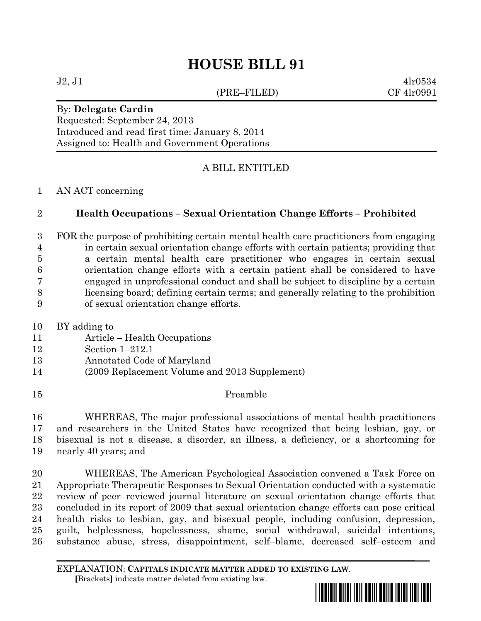# **HOUSE BILL 91**

(PRE–FILED) CF 4lr0991

 $J2, J1$  4lr0534

# By: **Delegate Cardin**

Requested: September 24, 2013

Introduced and read first time: January 8, 2014 Assigned to: Health and Government Operations

# A BILL ENTITLED

## AN ACT concerning

# **Health Occupations – Sexual Orientation Change Efforts – Prohibited**

- FOR the purpose of prohibiting certain mental health care practitioners from engaging in certain sexual orientation change efforts with certain patients; providing that a certain mental health care practitioner who engages in certain sexual orientation change efforts with a certain patient shall be considered to have engaged in unprofessional conduct and shall be subject to discipline by a certain licensing board; defining certain terms; and generally relating to the prohibition of sexual orientation change efforts.
- BY adding to
- Article Health Occupations
- Section 1–212.1
- Annotated Code of Maryland
- (2009 Replacement Volume and 2013 Supplement)
- Preamble

 WHEREAS, The major professional associations of mental health practitioners and researchers in the United States have recognized that being lesbian, gay, or bisexual is not a disease, a disorder, an illness, a deficiency, or a shortcoming for nearly 40 years; and

 WHEREAS, The American Psychological Association convened a Task Force on Appropriate Therapeutic Responses to Sexual Orientation conducted with a systematic review of peer–reviewed journal literature on sexual orientation change efforts that concluded in its report of 2009 that sexual orientation change efforts can pose critical health risks to lesbian, gay, and bisexual people, including confusion, depression, guilt, helplessness, hopelessness, shame, social withdrawal, suicidal intentions, substance abuse, stress, disappointment, self–blame, decreased self–esteem and

EXPLANATION: **CAPITALS INDICATE MATTER ADDED TO EXISTING LAW**.  **[**Brackets**]** indicate matter deleted from existing law.

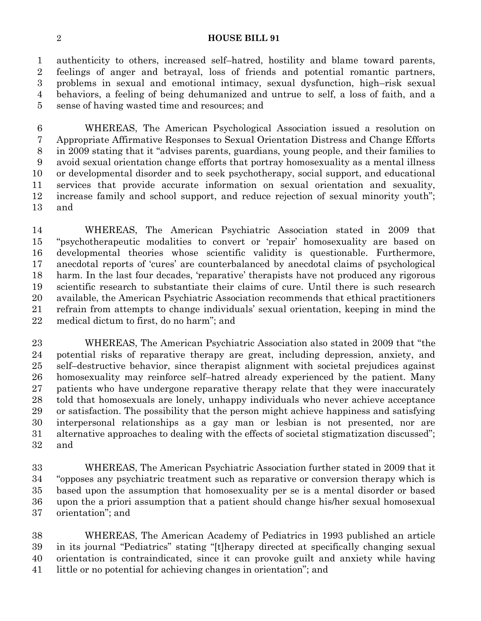#### **HOUSE BILL 91**

 authenticity to others, increased self–hatred, hostility and blame toward parents, feelings of anger and betrayal, loss of friends and potential romantic partners, problems in sexual and emotional intimacy, sexual dysfunction, high–risk sexual behaviors, a feeling of being dehumanized and untrue to self, a loss of faith, and a sense of having wasted time and resources; and

 WHEREAS, The American Psychological Association issued a resolution on Appropriate Affirmative Responses to Sexual Orientation Distress and Change Efforts in 2009 stating that it "advises parents, guardians, young people, and their families to avoid sexual orientation change efforts that portray homosexuality as a mental illness or developmental disorder and to seek psychotherapy, social support, and educational services that provide accurate information on sexual orientation and sexuality, increase family and school support, and reduce rejection of sexual minority youth"; and

 WHEREAS, The American Psychiatric Association stated in 2009 that "psychotherapeutic modalities to convert or 'repair' homosexuality are based on developmental theories whose scientific validity is questionable. Furthermore, anecdotal reports of 'cures' are counterbalanced by anecdotal claims of psychological harm. In the last four decades, 'reparative' therapists have not produced any rigorous scientific research to substantiate their claims of cure. Until there is such research available, the American Psychiatric Association recommends that ethical practitioners refrain from attempts to change individuals' sexual orientation, keeping in mind the medical dictum to first, do no harm"; and

 WHEREAS, The American Psychiatric Association also stated in 2009 that "the potential risks of reparative therapy are great, including depression, anxiety, and self–destructive behavior, since therapist alignment with societal prejudices against homosexuality may reinforce self–hatred already experienced by the patient. Many patients who have undergone reparative therapy relate that they were inaccurately told that homosexuals are lonely, unhappy individuals who never achieve acceptance or satisfaction. The possibility that the person might achieve happiness and satisfying interpersonal relationships as a gay man or lesbian is not presented, nor are alternative approaches to dealing with the effects of societal stigmatization discussed"; and

 WHEREAS, The American Psychiatric Association further stated in 2009 that it "opposes any psychiatric treatment such as reparative or conversion therapy which is based upon the assumption that homosexuality per se is a mental disorder or based upon the a priori assumption that a patient should change his/her sexual homosexual orientation"; and

 WHEREAS, The American Academy of Pediatrics in 1993 published an article in its journal "Pediatrics" stating "[t]herapy directed at specifically changing sexual orientation is contraindicated, since it can provoke guilt and anxiety while having little or no potential for achieving changes in orientation"; and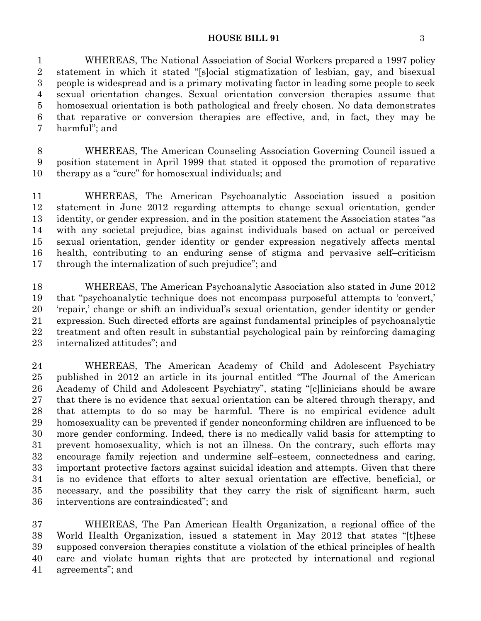#### **HOUSE BILL 91** 3

 WHEREAS, The National Association of Social Workers prepared a 1997 policy statement in which it stated "[s]ocial stigmatization of lesbian, gay, and bisexual people is widespread and is a primary motivating factor in leading some people to seek sexual orientation changes. Sexual orientation conversion therapies assume that homosexual orientation is both pathological and freely chosen. No data demonstrates that reparative or conversion therapies are effective, and, in fact, they may be harmful"; and

 WHEREAS, The American Counseling Association Governing Council issued a position statement in April 1999 that stated it opposed the promotion of reparative therapy as a "cure" for homosexual individuals; and

 WHEREAS, The American Psychoanalytic Association issued a position statement in June 2012 regarding attempts to change sexual orientation, gender identity, or gender expression, and in the position statement the Association states "as with any societal prejudice, bias against individuals based on actual or perceived sexual orientation, gender identity or gender expression negatively affects mental health, contributing to an enduring sense of stigma and pervasive self–criticism through the internalization of such prejudice"; and

 WHEREAS, The American Psychoanalytic Association also stated in June 2012 that "psychoanalytic technique does not encompass purposeful attempts to 'convert,' 'repair,' change or shift an individual's sexual orientation, gender identity or gender expression. Such directed efforts are against fundamental principles of psychoanalytic treatment and often result in substantial psychological pain by reinforcing damaging internalized attitudes"; and

 WHEREAS, The American Academy of Child and Adolescent Psychiatry published in 2012 an article in its journal entitled "The Journal of the American Academy of Child and Adolescent Psychiatry", stating "[c]linicians should be aware that there is no evidence that sexual orientation can be altered through therapy, and that attempts to do so may be harmful. There is no empirical evidence adult homosexuality can be prevented if gender nonconforming children are influenced to be more gender conforming. Indeed, there is no medically valid basis for attempting to prevent homosexuality, which is not an illness. On the contrary, such efforts may encourage family rejection and undermine self–esteem, connectedness and caring, important protective factors against suicidal ideation and attempts. Given that there is no evidence that efforts to alter sexual orientation are effective, beneficial, or necessary, and the possibility that they carry the risk of significant harm, such interventions are contraindicated"; and

 WHEREAS, The Pan American Health Organization, a regional office of the World Health Organization, issued a statement in May 2012 that states "[t]hese supposed conversion therapies constitute a violation of the ethical principles of health care and violate human rights that are protected by international and regional agreements"; and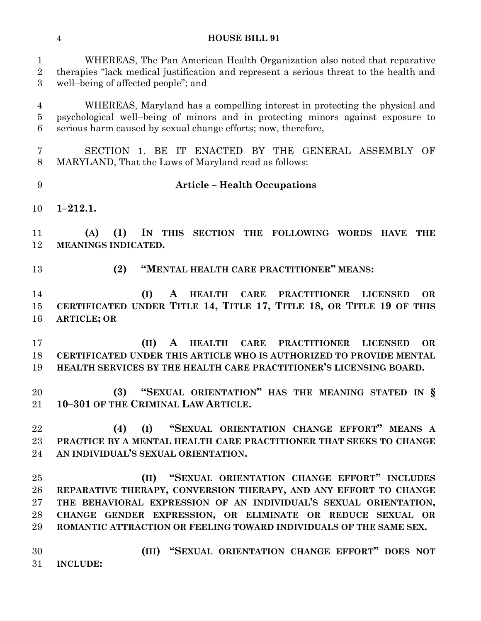#### **HOUSE BILL 91**

 WHEREAS, The Pan American Health Organization also noted that reparative therapies "lack medical justification and represent a serious threat to the health and well–being of affected people"; and

 WHEREAS, Maryland has a compelling interest in protecting the physical and psychological well–being of minors and in protecting minors against exposure to serious harm caused by sexual change efforts; now, therefore,

 SECTION 1. BE IT ENACTED BY THE GENERAL ASSEMBLY OF MARYLAND, That the Laws of Maryland read as follows:

### **Article – Health Occupations**

**1–212.1.**

 **(A) (1) IN THIS SECTION THE FOLLOWING WORDS HAVE THE MEANINGS INDICATED.**

**(2) "MENTAL HEALTH CARE PRACTITIONER" MEANS:**

 **(I) A HEALTH CARE PRACTITIONER LICENSED OR CERTIFICATED UNDER TITLE 14, TITLE 17, TITLE 18, OR TITLE 19 OF THIS ARTICLE; OR**

 **(II) A HEALTH CARE PRACTITIONER LICENSED OR CERTIFICATED UNDER THIS ARTICLE WHO IS AUTHORIZED TO PROVIDE MENTAL HEALTH SERVICES BY THE HEALTH CARE PRACTITIONER'S LICENSING BOARD.**

 **(3) "SEXUAL ORIENTATION" HAS THE MEANING STATED IN § 10–301 OF THE CRIMINAL LAW ARTICLE.**

 **(4) (I) "SEXUAL ORIENTATION CHANGE EFFORT" MEANS A PRACTICE BY A MENTAL HEALTH CARE PRACTITIONER THAT SEEKS TO CHANGE AN INDIVIDUAL'S SEXUAL ORIENTATION.**

 **(II) "SEXUAL ORIENTATION CHANGE EFFORT" INCLUDES REPARATIVE THERAPY, CONVERSION THERAPY, AND ANY EFFORT TO CHANGE THE BEHAVIORAL EXPRESSION OF AN INDIVIDUAL'S SEXUAL ORIENTATION, CHANGE GENDER EXPRESSION, OR ELIMINATE OR REDUCE SEXUAL OR ROMANTIC ATTRACTION OR FEELING TOWARD INDIVIDUALS OF THE SAME SEX.**

 **(III) "SEXUAL ORIENTATION CHANGE EFFORT" DOES NOT INCLUDE:**